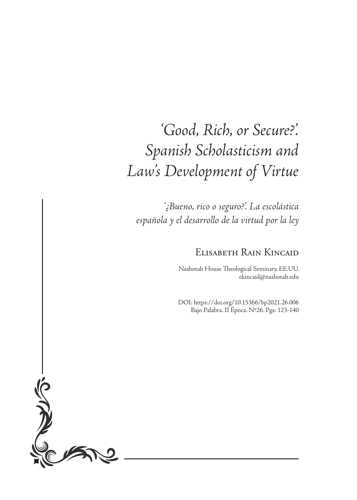# *'Good, Rich, or Secure?'. Spanish Scholasticism and Law's Development of Virtue*

*'¿Bueno, rico o seguro?'. La escolástica española y el desarrollo de la virtud por la ley*

# Elisabeth Rain Kincaid

Nashotah House Theological Seminary, EE.UU. ekincaid@nashotah.edu

DOI: https://doi.org/10.15366/bp2021.26.006 Bajo Palabra. II Época. Nº26. Pgs: 123-140

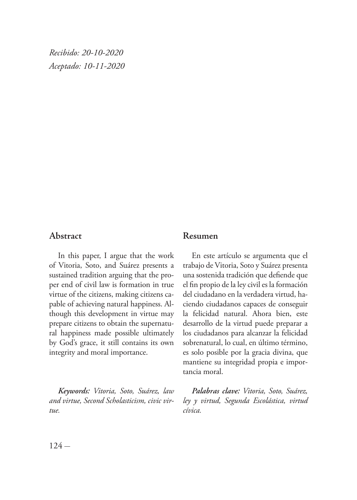*Recibido: 20-10-2020 Aceptado: 10-11-2020*

## **Abstract**

In this paper, I argue that the work of Vitoria, Soto, and Suárez presents a sustained tradition arguing that the proper end of civil law is formation in true virtue of the citizens, making citizens capable of achieving natural happiness. Although this development in virtue may prepare citizens to obtain the supernatural happiness made possible ultimately by God's grace, it still contains its own integrity and moral importance.

*Keywords: Vitoria, Soto, Suárez, law and virtue, Second Scholasticism, civic virtue.*

#### **Resumen**

En este artículo se argumenta que el trabajo de Vitoria, Soto y Suárez presenta una sostenida tradición que defiende que el fin propio de la ley civil es la formación del ciudadano en la verdadera virtud, haciendo ciudadanos capaces de conseguir la felicidad natural. Ahora bien, este desarrollo de la virtud puede preparar a los ciudadanos para alcanzar la felicidad sobrenatural, lo cual, en último término, es solo posible por la gracia divina, que mantiene su integridad propia e importancia moral.

*Palabras clave: Vitoria, Soto, Suárez, ley y virtud, Segunda Escolástica, virtud cívica.*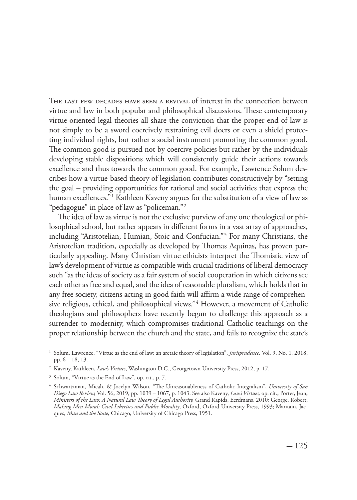The last few decades have seen a revival of interest in the connection between virtue and law in both popular and philosophical discussions. These contemporary virtue-oriented legal theories all share the conviction that the proper end of law is not simply to be a sword coercively restraining evil doers or even a shield protecting individual rights, but rather a social instrument promoting the common good. The common good is pursued not by coercive policies but rather by the individuals developing stable dispositions which will consistently guide their actions towards excellence and thus towards the common good. For example, Lawrence Solum describes how a virtue-based theory of legislation contributes constructively by "setting the goal – providing opportunities for rational and social activities that express the human excellences."1 Kathleen Kaveny argues for the substitution of a view of law as "pedagogue" in place of law as "policeman."2

The idea of law as virtue is not the exclusive purview of any one theological or philosophical school, but rather appears in different forms in a vast array of approaches, including "Aristotelian, Humian, Stoic and Confucian."3 For many Christians, the Aristotelian tradition, especially as developed by Thomas Aquinas, has proven particularly appealing. Many Christian virtue ethicists interpret the Thomistic view of law's development of virtue as compatible with crucial traditions of liberal democracy such "as the ideas of society as a fair system of social cooperation in which citizens see each other as free and equal, and the idea of reasonable pluralism, which holds that in any free society, citizens acting in good faith will affirm a wide range of comprehensive religious, ethical, and philosophical views."<sup>4</sup> However, a movement of Catholic theologians and philosophers have recently begun to challenge this approach as a surrender to modernity, which compromises traditional Catholic teachings on the proper relationship between the church and the state, and fails to recognize the state's

<sup>1</sup> Solum, Lawrence, "Virtue as the end of law: an aretaic theory of legislation", *Jurisprudence,* Vol. 9, No. 1*,* 2018, pp. 6 – 18, 13.

<sup>2</sup> Kaveny, Kathleen, *Law's Virtues*, Washington D.C., Georgetown University Press, 2012, p. 17.

<sup>3</sup> Solum, "Virtue as the End of Law", op. cit., p. 7.

<sup>4</sup> Schwartzman, Micah, & Jocelyn Wilson, "The Unreasonableness of Catholic Integralism", *University of San Diego Law Review,* Vol. 56, 2019, pp. 1039 – 1067, p. 1043. See also Kaveny, *Law's Virtues,* op. cit.; Porter, Jean, *Ministers of the Law: A Natural Law Theory of Legal Authority,* Grand Rapids, Eerdmans, 2010; George, Robert, *Making Men Moral: Civil Liberties and Public Morality*, Oxford, Oxford University Press, 1993; Maritain, Jacques, *Man and the State,* Chicago, University of Chicago Press, 1951.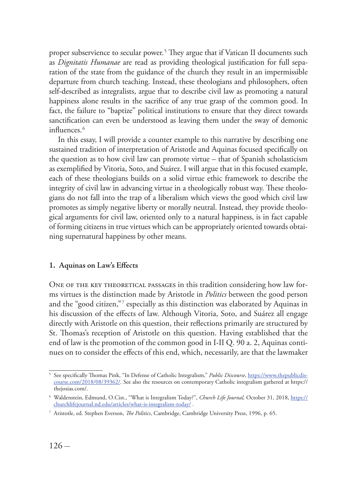proper subservience to secular power.5 They argue that if Vatican II documents such as *Dignitatis Humanae* are read as providing theological justification for full separation of the state from the guidance of the church they result in an impermissible departure from church teaching. Instead, these theologians and philosophers, often self-described as integralists, argue that to describe civil law as promoting a natural happiness alone results in the sacrifice of any true grasp of the common good. In fact, the failure to "baptize" political institutions to ensure that they direct towards sanctification can even be understood as leaving them under the sway of demonic influences<sup>6</sup>

In this essay, I will provide a counter example to this narrative by describing one sustained tradition of interpretation of Aristotle and Aquinas focused specifically on the question as to how civil law can promote virtue – that of Spanish scholasticism as exemplified by Vitoria, Soto, and Suárez. I will argue that in this focused example, each of these theologians builds on a solid virtue ethic framework to describe the integrity of civil law in advancing virtue in a theologically robust way. These theologians do not fall into the trap of a liberalism which views the good which civil law promotes as simply negative liberty or morally neutral. Instead, they provide theological arguments for civil law, oriented only to a natural happiness, is in fact capable of forming citizens in true virtues which can be appropriately oriented towards obtaining supernatural happiness by other means.

#### **1. Aquinas on Law's Effects**

ONE OF THE KEY THEORETICAL PASSAGES in this tradition considering how law forms virtues is the distinction made by Aristotle in *Politics* between the good person and the "good citizen,"7 especially as this distinction was elaborated by Aquinas in his discussion of the effects of law. Although Vitoria, Soto, and Suárez all engage directly with Aristotle on this question, their reflections primarily are structured by St. Thomas's reception of Aristotle on this question. Having established that the end of law is the promotion of the common good in I-II Q. 90 a. 2, Aquinas continues on to consider the effects of this end, which, necessarily, are that the lawmaker

<sup>5</sup> See specifically Thomas Pink, "In Defense of Catholic Integralism," *Public Discourse*, https://www.thepublicdiscourse.com/2018/08/39362/. See also the resources on contemporary Catholic integralism gathered at https:// thejosias.com/.

<sup>6</sup> Waldenstein, Edmund, O.Cist., "What is Integralism Today?", *Church Life Journal,* October 31, 2018, https:// churchlifejournal.nd.edu/articles/what-is-integralism-today/ .

<sup>7</sup> Aristotle, ed. Stephen Everson, *The Politics*, Cambridge, Cambridge University Press, 1996, p. 65.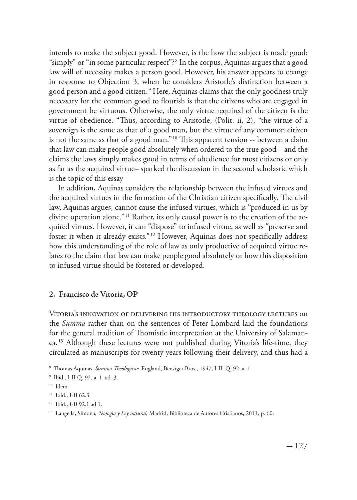intends to make the subject good. However, is the how the subject is made good: "simply" or "in some particular respect"? <sup>8</sup> In the corpus, Aquinas argues that a good law will of necessity makes a person good. However, his answer appears to change in response to Objection 3, when he considers Aristotle's distinction between a good person and a good citizen.<sup>9</sup> Here, Aquinas claims that the only goodness truly necessary for the common good to flourish is that the citizens who are engaged in government be virtuous. Otherwise, the only virtue required of the citizen is the virtue of obedience. "Thus, according to Aristotle, (Polit. ii, 2), "the virtue of a sovereign is the same as that of a good man, but the virtue of any common citizen is not the same as that of a good man." 10 This apparent tension -- between a claim that law can make people good absolutely when ordered to the true good – and the claims the laws simply makes good in terms of obedience for most citizens or only as far as the acquired virtue– sparked the discussion in the second scholastic which is the topic of this essay

In addition, Aquinas considers the relationship between the infused virtues and the acquired virtues in the formation of the Christian citizen specifically. The civil law, Aquinas argues, cannot cause the infused virtues, which is "produced in us by divine operation alone."<sup>11</sup> Rather, its only causal power is to the creation of the acquired virtues. However, it can "dispose" to infused virtue, as well as "preserve and foster it when it already exists." 12 However, Aquinas does not specifically address how this understanding of the role of law as only productive of acquired virtue relates to the claim that law can make people good absolutely or how this disposition to infused virtue should be fostered or developed.

#### **2. Francisco de Vitoria, OP**

Vitoria's innovation of delivering his introductory theology lectures on the *Summa* rather than on the sentences of Peter Lombard laid the foundations for the general tradition of Thomistic interpretation at the University of Salamanca.13 Although these lectures were not published during Vitoria's life-time, they circulated as manuscripts for twenty years following their delivery, and thus had a

<sup>8</sup> Thomas Aquinas, *Summa Theologicae,* England, Benziger Bros., 1947, I-II Q. 92, a. 1.

<sup>9</sup> Ibid., I-II Q. 92, a. 1, ad. 3.

 $10$  Idem.

<sup>&</sup>lt;sup>11</sup> Ibid., I-II 62.3.

<sup>12</sup> Ibid., I-II 92.1 ad 1.

<sup>13</sup> Langella, Simona, *Teolog*í*a y Ley natural,* Madrid, Biblioteca de Autores Cristianos, 2011, p. 60.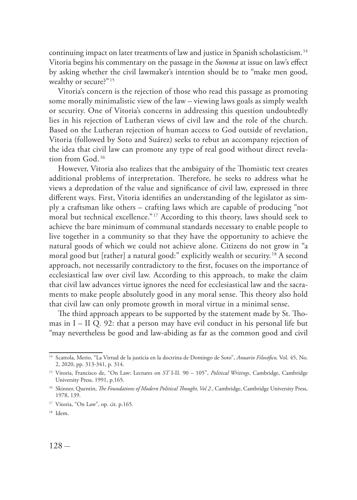continuing impact on later treatments of law and justice in Spanish scholasticism. <sup>14</sup> Vitoria begins his commentary on the passage in the *Summa* at issue on law's effect by asking whether the civil lawmaker's intention should be to "make men good, wealthy or secure?"<sup>15</sup>

Vitoria's concern is the rejection of those who read this passage as promoting some morally minimalistic view of the law – viewing laws goals as simply wealth or security. One of Vitoria's concerns in addressing this question undoubtedly lies in his rejection of Lutheran views of civil law and the role of the church. Based on the Lutheran rejection of human access to God outside of revelation, Vitoria (followed by Soto and Suárez) seeks to rebut an accompany rejection of the idea that civil law can promote any type of real good without direct revelation from God<sup>16</sup>

However, Vitoria also realizes that the ambiguity of the Thomistic text creates additional problems of interpretation. Therefore, he seeks to address what he views a depredation of the value and significance of civil law, expressed in three different ways. First, Vitoria identifies an understanding of the legislator as simply a craftsman like others – crafting laws which are capable of producing "not moral but technical excellence." 17 According to this theory, laws should seek to achieve the bare minimum of communal standards necessary to enable people to live together in a community so that they have the opportunity to achieve the natural goods of which we could not achieve alone. Citizens do not grow in "a moral good but [rather] a natural good:" explicitly wealth or security. 18 A second approach, not necessarily contradictory to the first, focuses on the importance of ecclesiastical law over civil law. According to this approach, to make the claim that civil law advances virtue ignores the need for ecclesiastical law and the sacraments to make people absolutely good in any moral sense. This theory also hold that civil law can only promote growth in moral virtue in a minimal sense.

The third approach appears to be supported by the statement made by St. Thomas in I – II Q. 92: that a person may have evil conduct in his personal life but "may nevertheless be good and law-abiding as far as the common good and civil

<sup>14</sup> Scattola, Merio, "La Virtud de la justicia en la doctrina de Domingo de Soto", *Anuario Filosófico,* Vol. 45, No. 2, 2020, pp. 313-341, p. 314.

<sup>15</sup> Vitoria, Francisco de, "On Law: Lectures on *ST* I-II. 90 – 105", *Political Writings*, Cambridge, Cambridge University Press, 1991, p.165.

<sup>&</sup>lt;sup>16</sup> Skinner, Quentin, *The Foundations of Modern Political Thought, Vol 2.*, Cambridge, Cambridge University Press, 1978, 139.

<sup>&</sup>lt;sup>17</sup> Vitoria, "On Law", op. cit. p.165.

<sup>18</sup> Idem.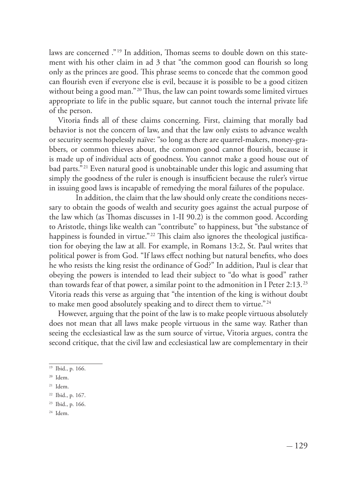laws are concerned ."19 In addition, Thomas seems to double down on this statement with his other claim in ad 3 that "the common good can flourish so long only as the princes are good. This phrase seems to concede that the common good can flourish even if everyone else is evil, because it is possible to be a good citizen without being a good man."<sup>20</sup> Thus, the law can point towards some limited virtues appropriate to life in the public square, but cannot touch the internal private life of the person.

Vitoria finds all of these claims concerning. First, claiming that morally bad behavior is not the concern of law, and that the law only exists to advance wealth or security seems hopelessly naïve: "so long as there are quarrel-makers, money-grabbers, or common thieves about, the common good cannot flourish, because it is made up of individual acts of goodness. You cannot make a good house out of bad parts."21 Even natural good is unobtainable under this logic and assuming that simply the goodness of the ruler is enough is insufficient because the ruler's virtue in issuing good laws is incapable of remedying the moral failures of the populace.

In addition, the claim that the law should only create the conditions necessary to obtain the goods of wealth and security goes against the actual purpose of the law which (as Thomas discusses in 1-II 90.2) is the common good. According to Aristotle, things like wealth can "contribute" to happiness, but "the substance of happiness is founded in virtue."<sup>22</sup> This claim also ignores the theological justification for obeying the law at all. For example, in Romans 13:2, St. Paul writes that political power is from God. "If laws effect nothing but natural benefits, who does he who resists the king resist the ordinance of God?" In addition, Paul is clear that obeying the powers is intended to lead their subject to "do what is good" rather than towards fear of that power, a similar point to the admonition in I Peter 2:13. <sup>23</sup> Vitoria reads this verse as arguing that "the intention of the king is without doubt to make men good absolutely speaking and to direct them to virtue."<sup>24</sup>

However, arguing that the point of the law is to make people virtuous absolutely does not mean that all laws make people virtuous in the same way. Rather than seeing the ecclesiastical law as the sum source of virtue, Vitoria argues, contra the second critique, that the civil law and ecclesiastical law are complementary in their

<sup>19</sup> Ibid., p. 166.

<sup>20</sup> Idem.

<sup>21</sup> Idem.

<sup>22</sup> Ibid., p. 167.

<sup>23</sup> Ibid., p. 166.

<sup>24</sup> Idem.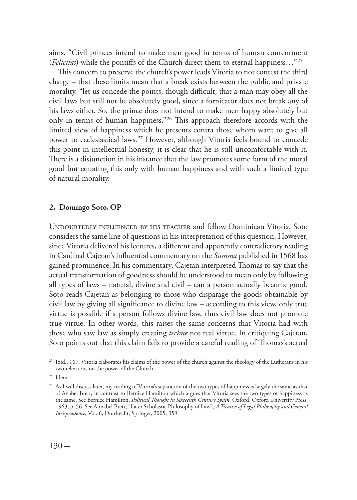aims. "Civil princes intend to make men good in terms of human contentment (*Felicitas*) while the pontiffs of the Church direct them to eternal happiness…"25

This concern to preserve the church's power leads Vitoria to not contest the third charge – that these limits mean that a break exists between the public and private morality. "let us concede the points, though difficult, that a man may obey all the civil laws but still not be absolutely good, since a fornicator does not break any of his laws either. So, the prince does not intend to make men happy absolutely but only in terms of human happiness."26 This approach therefore accords with the limited view of happiness which he presents contra those whom want to give all power to ecclesiastical laws.27 However, although Vitoria feels bound to concede this point in intellectual honesty, it is clear that he is still uncomfortable with it. There is a disjunction in his instance that the law promotes some form of the moral good but equating this only with human happiness and with such a limited type of natural morality.

#### **2. Domingo Soto, OP**

Undoubtedly influenced by his teacher and fellow Dominican Vitoria, Soto considers the same line of questions in his interpretation of this question. However, since Vitoria delivered his lectures, a different and apparently contradictory reading in Cardinal Cajetan's influential commentary on the *Summa* published in 1568 has gained prominence. In his commentary, Cajetan interpreted Thomas to say that the actual transformation of goodness should be understood to mean only by following all types of laws – natural, divine and civil – can a person actually become good. Soto reads Cajetan as belonging to those who disparage the goods obtainable by civil law by giving all significance to divine law – according to this view, only true virtue is possible if a person follows divine law, thus civil law does not promote true virtue. In other words, this raises the same concerns that Vitoria had with those who saw law as simply creating *techne* not real virtue. In critiquing Cajetan, Soto points out that this claim fails to provide a careful reading of Thomas's actual

<sup>&</sup>lt;sup>25</sup> Ibid., 167. Vitoria elaborates his claims of the power of the church against the theology of the Lutherans in his two relections on the power of the Church.

<sup>26</sup> Idem.

<sup>27</sup> As I will discuss later, my reading of Vitoria's separation of the two types of happiness is largely the same as that of Anabel Brett, in contrast to Bernice Hamilton which argues that Vitoria sees the two types of happiness as the same. See Bernice Hamilton, *Political Thought in Sixteenth Century Spain,* Oxford, Oxford University Press, 1963, p. 56. See Annabel Brett, "Later Scholastic Philosophy of Law", *A Treatise of Legal Philosophy and General Jurisprudence*, Vol. 6, Dordrecht, Springer, 2005, 359.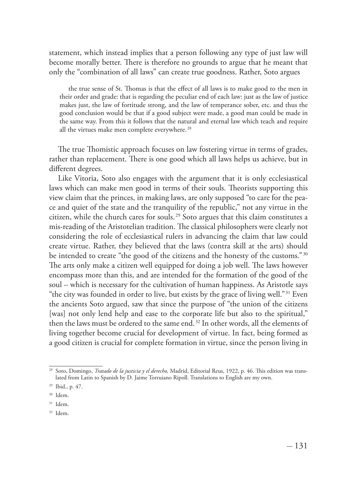statement, which instead implies that a person following any type of just law will become morally better. There is therefore no grounds to argue that he meant that only the "combination of all laws" can create true goodness. Rather, Soto argues

the true sense of St. Thomas is that the effect of all laws is to make good to the men in their order and grade: that is regarding the peculiar end of each law: just as the law of justice makes just, the law of fortitude strong, and the law of temperance sober, etc. and thus the good conclusion would be that if a good subject were made, a good man could be made in the same way. From this it follows that the natural and eternal law which teach and require all the virtues make men complete everywhere.<sup>28</sup>

The true Thomistic approach focuses on law fostering virtue in terms of grades, rather than replacement. There is one good which all laws helps us achieve, but in different degrees.

Like Vitoria, Soto also engages with the argument that it is only ecclesiastical laws which can make men good in terms of their souls. Theorists supporting this view claim that the princes, in making laws, are only supposed "to care for the peace and quiet of the state and the tranquility of the republic," not any virtue in the citizen, while the church cares for souls.29 Soto argues that this claim constitutes a mis-reading of the Aristotelian tradition. The classical philosophers were clearly not considering the role of ecclesiastical rulers in advancing the claim that law could create virtue. Rather, they believed that the laws (contra skill at the arts) should be intended to create "the good of the citizens and the honesty of the customs."<sup>30</sup> The arts only make a citizen well equipped for doing a job well. The laws however encompass more than this, and are intended for the formation of the good of the soul – which is necessary for the cultivation of human happiness. As Aristotle says "the city was founded in order to live, but exists by the grace of living well." 31 Even the ancients Soto argued, saw that since the purpose of "the union of the citizens [was] not only lend help and ease to the corporate life but also to the spiritual," then the laws must be ordered to the same end.<sup>32</sup> In other words, all the elements of living together become crucial for development of virtue. In fact, being formed as a good citizen is crucial for complete formation in virtue, since the person living in

<sup>28</sup> Soto, Domingo, *Tratado de la justicia y el derecho,* Madrid, Editorial Reus, 1922, p. 46. This edition was translated from Latin to Spanish by D. Jaime Torruiano Ripoll. Translations to English are my own.

<sup>29</sup> Ibid., p. 47.

<sup>30</sup> Idem.

<sup>31</sup> Idem.

<sup>32</sup> Idem.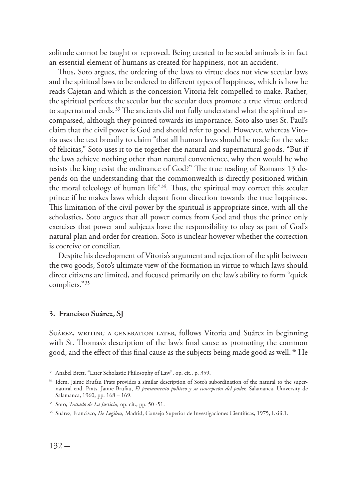solitude cannot be taught or reproved. Being created to be social animals is in fact an essential element of humans as created for happiness, not an accident.

Thus, Soto argues, the ordering of the laws to virtue does not view secular laws and the spiritual laws to be ordered to different types of happiness, which is how he reads Cajetan and which is the concession Vitoria felt compelled to make. Rather, the spiritual perfects the secular but the secular does promote a true virtue ordered to supernatural ends.<sup>33</sup> The ancients did not fully understand what the spiritual encompassed, although they pointed towards its importance. Soto also uses St. Paul's claim that the civil power is God and should refer to good. However, whereas Vitoria uses the text broadly to claim "that all human laws should be made for the sake of felicitas," Soto uses it to tie together the natural and supernatural goods. "But if the laws achieve nothing other than natural convenience, why then would he who resists the king resist the ordinance of God?" The true reading of Romans 13 depends on the understanding that the commonwealth is directly positioned within the moral teleology of human life"34. Thus, the spiritual may correct this secular prince if he makes laws which depart from direction towards the true happiness. This limitation of the civil power by the spiritual is appropriate since, with all the scholastics, Soto argues that all power comes from God and thus the prince only exercises that power and subjects have the responsibility to obey as part of God's natural plan and order for creation. Soto is unclear however whether the correction is coercive or conciliar.

Despite his development of Vitoria's argument and rejection of the split between the two goods, Soto's ultimate view of the formation in virtue to which laws should direct citizens are limited, and focused primarily on the law's ability to form "quick compliers."35

#### **3. Francisco Suárez, SJ**

SUÁREZ, WRITING A GENERATION LATER, follows Vitoria and Suárez in beginning with St. Thomas's description of the law's final cause as promoting the common good, and the effect of this final cause as the subjects being made good as well.<sup>36</sup> He

<sup>33</sup> Anabel Brett, "Later Scholastic Philosophy of Law", op. cit., p. 359.

<sup>&</sup>lt;sup>34</sup> Idem. Jaime Brufau Prats provides a similar description of Soto's subordination of the natural to the supernatural end. Prats, Jamie Brufau, *El pensamiento pol*í*tico y su concepción del poder,* Salamanca, University de Salamanca, 1960, pp. 168 – 169.

<sup>35</sup> Soto, *Tratado de La Justicia,* op. cit., pp. 50 -51.

<sup>36</sup> Suárez, Francisco, *De Legibus,* Madrid, Consejo Superior de Investigaciones Cientificas, 1975, I.xiii.1.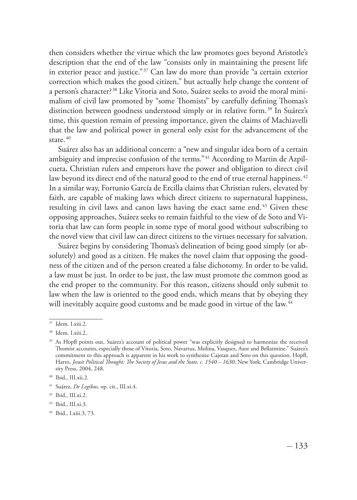then considers whether the virtue which the law promotes goes beyond Aristotle's description that the end of the law "consists only in maintaining the present life in exterior peace and justice."37 Can law do more than provide "a certain exterior correction which makes the good citizen," but actually help change the content of a person's character? 38 Like Vitoria and Soto, Suárez seeks to avoid the moral minimalism of civil law promoted by "some Thomists" by carefully defining Thomas's distinction between goodness understood simply or in relative form.<sup>39</sup> In Suárez's time, this question remain of pressing importance, given the claims of Machiavelli that the law and political power in general only exist for the advancement of the state.<sup>40</sup>

Suárez also has an additional concern: a "new and singular idea born of a certain ambiguity and imprecise confusion of the terms."<sup>41</sup> According to Martin de Azpilcueta, Christian rulers and emperors have the power and obligation to direct civil law beyond its direct end of the natural good to the end of true eternal happiness.<sup>42</sup> In a similar way, Fortunio García de Ercilla claims that Christian rulers, elevated by faith, are capable of making laws which direct citizens to supernatural happiness, resulting in civil laws and canon laws having the exact same end.<sup>43</sup> Given these opposing approaches, Suárez seeks to remain faithful to the view of de Soto and Vitoria that law can form people in some type of moral good without subscribing to the novel view that civil law can direct citizens to the virtues necessary for salvation.

Suárez begins by considering Thomas's delineation of being good simply (or absolutely) and good as a citizen. He makes the novel claim that opposing the goodness of the citizen and of the person created a false dichotomy. In order to be valid, a law must be just. In order to be just, the law must promote the common good as the end proper to the community. For this reason, citizens should only submit to law when the law is oriented to the good ends, which means that by obeying they will inevitably acquire good customs and be made good in virtue of the law.<sup>44</sup>

<sup>37</sup> Idem. I.xiii.2.

<sup>38</sup> Idem. I.xiii.2..

<sup>&</sup>lt;sup>39</sup> As Hopfl points out, Suárez's account of political power "was explicitly designed to harmonize the received Thomist accounts, especially those of Vitoria, Soto, Navarrus, Molina, Vasquez, Azor and Bellarmine." Suárez's commitment to this approach is apparent in his work to synthesize Cajetan and Soto on this question. Hopfl, Harro, *Jesuit Political Thought: The Society of Jesus and the State, c. 1540 – 1630*, New York, Cambridge University Press, 2004, 248.

<sup>40</sup> Ibid., III.xii.2.

<sup>41</sup> Suárez, *De Legibus,* op. cit., III.xi.4.

<sup>42</sup> Ibid., III.xi.2.

<sup>43</sup> Ibid., III.xi.3.

<sup>44</sup> Ibid., I.xiii.3, 73.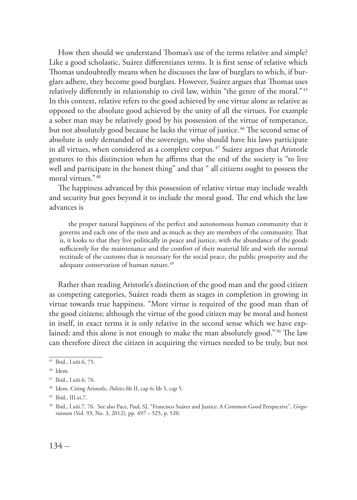How then should we understand Thomas's use of the terms relative and simple? Like a good scholastic, Suárez differentiates terms. It is first sense of relative which Thomas undoubtedly means when he discusses the law of burglars to which, if burglars adhere, they become good burglars. However, Suárez argues that Thomas uses relatively differently in relationship to civil law, within "the genre of the moral." <sup>45</sup> In this context, relative refers to the good achieved by one virtue alone as relative as opposed to the absolute good achieved by the unity of all the virtues. For example a sober man may be relatively good by his possession of the virtue of temperance, but not absolutely good because he lacks the virtue of justice.<sup>46</sup> The second sense of absolute is only demanded of the sovereign, who should have his laws participate in all virtues, when considered as a complete corpus. $47$  Suárez argues that Aristotle gestures to this distinction when he affirms that the end of the society is "to live well and participate in the honest thing" and that " all citizens ought to possess the moral virtues."48

The happiness advanced by this possession of relative virtue may include wealth and security but goes beyond it to include the moral good. The end which the law advances is

the proper natural happiness of the perfect and autonomous human community that it governs and each one of the men and as much as they are members of the community. That is, it looks to that they live politically in peace and justice, with the abundance of the goods sufficiently for the maintenance and the comfort of their material life and with the normal rectitude of the customs that is necessary for the social peace, the public prosperity and the adequate conservation of human nature.<sup>49</sup>

Rather than reading Aristotle's distinction of the good man and the good citizen as competing categories, Suárez reads them as stages in completion in growing in virtue towards true happiness. "More virtue is required of the good man than of the good citizens; although the virtue of the good citizen may be moral and honest in itself, in exact terms it is only relative in the second sense which we have explained; and this alone is not enough to make the man absolutely good." 50 The law can therefore direct the citizen in acquiring the virtues needed to be truly, but not

 $\overline{45}$  Ibid., I.xiii.6, 75.

<sup>46</sup> Idem.

<sup>47</sup> Ibid., I.xiii.6, 76.

<sup>48</sup> Idem. Citing Aristotle, *Politics* lib II, cap 6; lib 5, cap 5.

<sup>49</sup> Ibid., III.xi.7.

<sup>50</sup> Ibid., I.xiii.7, 76. See also Pace, Paul, SJ, "Francisco Suárez and Justice: A Common Good Perspective", *Gregorianum* (Vol. 93, No. 3, 2012), pp. 497 – 525, p. 520.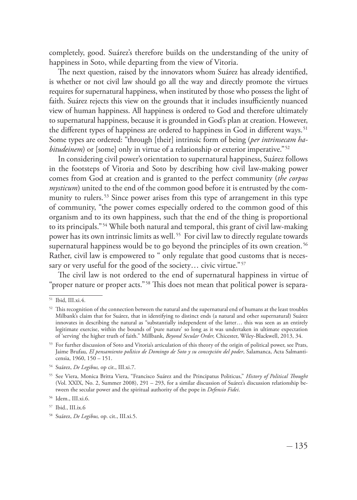completely, good. Suárez's therefore builds on the understanding of the unity of happiness in Soto, while departing from the view of Vitoria.

The next question, raised by the innovators whom Suárez has already identified, is whether or not civil law should go all the way and directly promote the virtues requires for supernatural happiness, when instituted by those who possess the light of faith. Suárez rejects this view on the grounds that it includes insufficiently nuanced view of human happiness. All happiness is ordered to God and therefore ultimately to supernatural happiness, because it is grounded in God's plan at creation. However, the different types of happiness are ordered to happiness in God in different ways.<sup>51</sup> Some types are ordered: "through [their] intrinsic form of being (*per intrinsecam habitudeinem*) or [some] only in virtue of a relationship or exterior imperative."<sup>52</sup>

In considering civil power's orientation to supernatural happiness, Suárez follows in the footsteps of Vitoria and Soto by describing how civil law-making power comes from God at creation and is granted to the perfect community (*the corpus mysticum*) united to the end of the common good before it is entrusted by the community to rulers.<sup>53</sup> Since power arises from this type of arrangement in this type of community, "the power comes especially ordered to the common good of this organism and to its own happiness, such that the end of the thing is proportional to its principals."54 While both natural and temporal, this grant of civil law-making power has its own intrinsic limits as well.<sup>55</sup> For civil law to directly regulate towards supernatural happiness would be to go beyond the principles of its own creation.<sup>56</sup> Rather, civil law is empowered to " only regulate that good customs that is necessary or very useful for the good of the society... civic virtue."<sup>57</sup>

The civil law is not ordered to the end of supernatural happiness in virtue of "proper nature or proper acts."58 This does not mean that political power is separa-

<sup>51</sup> Ibid, III.xi.4.

 $52$  This recognition of the connection between the natural and the supernatural end of humans at the least troubles Milbank's claim that for Suárez, that in identifying to distinct ends (a natural and other supernatural) Suárez innovates in describing the natural as "substantially independent of the latter… this was seen as an entirely legitimate exercise, within the bounds of 'pure nature' so long as it was undertaken in ultimate expectation of 'serving' the higher truth of faith." Millbank, *Beyond Secular Order,* Chicester, Wiley-Blackwell, 2013, 34.

<sup>53</sup> For further discussion of Soto and Vitoria's articulation of this theory of the origin of political power, see Prats, Jaime Brufau, *El pensamiento pol*í*tico de Domingo de Soto y su concepción del poder*, Salamanca, Acta Salmanticensia, 1960, 150 – 151.

<sup>54</sup> Suárez, *De Legibus,* op cit., III.xi.7.

<sup>55</sup> See Viera, Monica Britta Viera, "Francisco Suárez and the Principatus Politicus," *History of Political Thought*  (Vol. XXIX, No. 2, Summer 2008), 291 – 293, for a similar discussion of Suárez's discussion relationship between the secular power and the spiritual authority of the pope in *Defensio Fidei*.

<sup>56</sup> Idem., III.xi.6.

<sup>57</sup> Ibid., III.ix.6

<sup>58</sup> Suárez, *De Legibus,* op. cit., III.xi.5.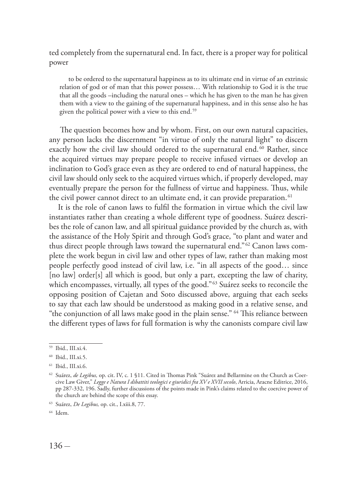ted completely from the supernatural end. In fact, there is a proper way for political power

to be ordered to the supernatural happiness as to its ultimate end in virtue of an extrinsic relation of god or of man that this power possess… With relationship to God it is the true that all the goods –including the natural ones – which he has given to the man he has given them with a view to the gaining of the supernatural happiness, and in this sense also he has given the political power with a view to this end.<sup>59</sup>

 The question becomes how and by whom. First, on our own natural capacities, any person lacks the discernment "in virtue of only the natural light" to discern exactly how the civil law should ordered to the supernatural end.<sup>60</sup> Rather, since the acquired virtues may prepare people to receive infused virtues or develop an inclination to God's grace even as they are ordered to end of natural happiness, the civil law should only seek to the acquired virtues which, if properly developed, may eventually prepare the person for the fullness of virtue and happiness. Thus, while the civil power cannot direct to an ultimate end, it can provide preparation.<sup>61</sup>

It is the role of canon laws to fulfil the formation in virtue which the civil law instantiates rather than creating a whole different type of goodness. Suárez describes the role of canon law, and all spiritual guidance provided by the church as, with the assistance of the Holy Spirit and through God's grace, "to plant and water and thus direct people through laws toward the supernatural end." 62 Canon laws complete the work begun in civil law and other types of law, rather than making most people perfectly good instead of civil law, i.e. "in all aspects of the good… since [no law] order[s] all which is good, but only a part, excepting the law of charity, which encompasses, virtually, all types of the good."63 Suárez seeks to reconcile the opposing position of Cajetan and Soto discussed above, arguing that each seeks to say that each law should be understood as making good in a relative sense, and "the conjunction of all laws make good in the plain sense." 64 This reliance between the different types of laws for full formation is why the canonists compare civil law

<sup>59</sup> Ibid., III.xi.4.

<sup>60</sup> Ibid., III.xi.5.

<sup>61</sup> Ibid., III.xi.6.

<sup>62</sup> Suárez, *de Legibus,* op. cit. IV, c. 1 §11. Cited in Thomas Pink "Suárez and Bellarmine on the Church as Coercive Law Giver," *Legge e Natura I dibattiti teologici e giuridici fra XV e XVII secolo*, Arricia, Aracne Editrice, 2016, pp 287-332, 196. Sadly, further discussions of the points made in Pink's claims related to the coercive power of the church are behind the scope of this essay.

<sup>63</sup> Suárez, *De Legibus,* op. cit., I.xiii.8, 77.

<sup>64</sup> Idem.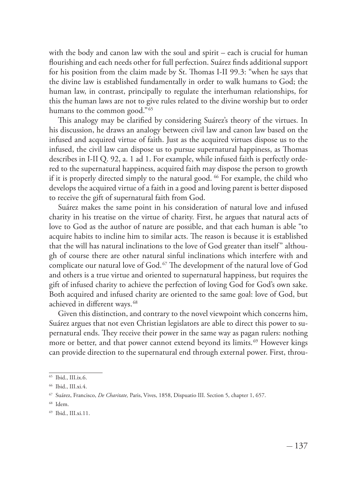with the body and canon law with the soul and spirit – each is crucial for human flourishing and each needs other for full perfection. Suárez finds additional support for his position from the claim made by St. Thomas I-II 99.3: "when he says that the divine law is established fundamentally in order to walk humans to God; the human law, in contrast, principally to regulate the interhuman relationships, for this the human laws are not to give rules related to the divine worship but to order humans to the common good."<sup>65</sup>

This analogy may be clarified by considering Suárez's theory of the virtues. In his discussion, he draws an analogy between civil law and canon law based on the infused and acquired virtue of faith. Just as the acquired virtues dispose us to the infused, the civil law can dispose us to pursue supernatural happiness, as Thomas describes in I-II Q. 92, a. 1 ad 1. For example, while infused faith is perfectly ordered to the supernatural happiness, acquired faith may dispose the person to growth if it is properly directed simply to the natural good. <sup>66</sup> For example, the child who develops the acquired virtue of a faith in a good and loving parent is better disposed to receive the gift of supernatural faith from God.

Suárez makes the same point in his consideration of natural love and infused charity in his treatise on the virtue of charity. First, he argues that natural acts of love to God as the author of nature are possible, and that each human is able "to acquire habits to incline him to similar acts. The reason is because it is established that the will has natural inclinations to the love of God greater than itself" although of course there are other natural sinful inclinations which interfere with and complicate our natural love of God.<sup>67</sup> The development of the natural love of God and others is a true virtue and oriented to supernatural happiness, but requires the gift of infused charity to achieve the perfection of loving God for God's own sake. Both acquired and infused charity are oriented to the same goal: love of God, but achieved in different ways. <sup>68</sup>

Given this distinction, and contrary to the novel viewpoint which concerns him, Suárez argues that not even Christian legislators are able to direct this power to supernatural ends. They receive their power in the same way as pagan rulers: nothing more or better, and that power cannot extend beyond its limits.<sup>69</sup> However kings can provide direction to the supernatural end through external power. First, throu-

<sup>65</sup> Ibid., III.ix.6.

<sup>66</sup> Ibid., III.xi.4.

<sup>67</sup> Suárez, Francisco, *De Charitate,* Paris, Vives, 1858, Dispuatio III. Section 5, chapter 1, 657.

<sup>68</sup> Idem.

<sup>69</sup> Ibid., III.xi.11.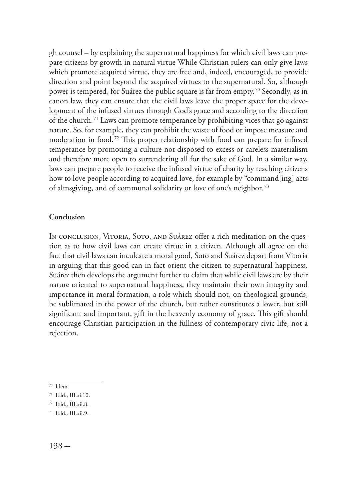gh counsel – by explaining the supernatural happiness for which civil laws can prepare citizens by growth in natural virtue While Christian rulers can only give laws which promote acquired virtue, they are free and, indeed, encouraged, to provide direction and point beyond the acquired virtues to the supernatural. So, although power is tempered, for Suárez the public square is far from empty. 70 Secondly, as in canon law, they can ensure that the civil laws leave the proper space for the development of the infused virtues through God's grace and according to the direction of the church. 71 Laws can promote temperance by prohibiting vices that go against nature. So, for example, they can prohibit the waste of food or impose measure and moderation in food.72 This proper relationship with food can prepare for infused temperance by promoting a culture not disposed to excess or careless materialism and therefore more open to surrendering all for the sake of God. In a similar way, laws can prepare people to receive the infused virtue of charity by teaching citizens how to love people according to acquired love, for example by "command[ing] acts of almsgiving, and of communal solidarity or love of one's neighbor*.* 73

### **Conclusion**

In conclusion, Vitoria, Soto, and Suárez offer a rich meditation on the question as to how civil laws can create virtue in a citizen. Although all agree on the fact that civil laws can inculcate a moral good, Soto and Suárez depart from Vitoria in arguing that this good can in fact orient the citizen to supernatural happiness. Suárez then develops the argument further to claim that while civil laws are by their nature oriented to supernatural happiness, they maintain their own integrity and importance in moral formation, a role which should not, on theological grounds, be sublimated in the power of the church, but rather constitutes a lower, but still significant and important, gift in the heavenly economy of grace. This gift should encourage Christian participation in the fullness of contemporary civic life, not a rejection.

 $\frac{1}{70}$  Idem.

<sup>71</sup> Ibid., III.xi.10.

<sup>72</sup> Ibid., III.xii.8.

<sup>73</sup> Ibid., III.xii.9.